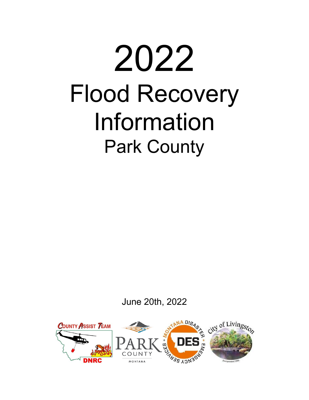# 2022 Flood Recovery Information Park County

June 20th, 2022

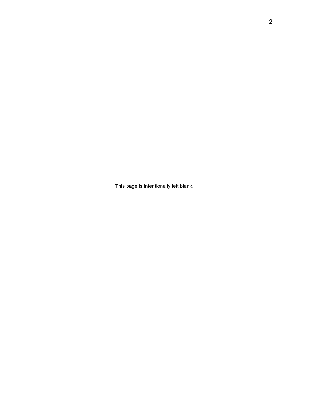This page is intentionally left blank.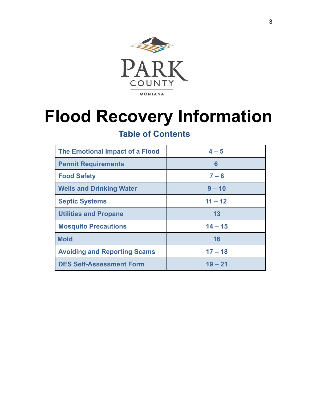

## **Flood Recovery Information**

## **Table of Contents**

| <b>The Emotional Impact of a Flood</b> | $4 - 5$   |
|----------------------------------------|-----------|
| <b>Permit Requirements</b>             | 6         |
| <b>Food Safety</b>                     | $7 - 8$   |
| <b>Wells and Drinking Water</b>        | $9 - 10$  |
| <b>Septic Systems</b>                  | $11 - 12$ |
| <b>Utilities and Propane</b>           | 13        |
| <b>Mosquito Precautions</b>            | $14 - 15$ |
| <b>Mold</b>                            | 16        |
| <b>Avoiding and Reporting Scams</b>    | $17 - 18$ |
| <b>DES Self-Assessment Form</b>        | $19 - 21$ |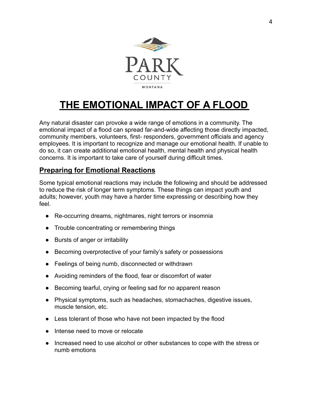

## **THE EMOTIONAL IMPACT OF A FLOOD**

Any natural disaster can provoke a wide range of emotions in a community. The emotional impact of a flood can spread far-and-wide affecting those directly impacted, community members, volunteers, first- responders, government officials and agency employees. It is important to recognize and manage our emotional health. If unable to do so, it can create additional emotional health, mental health and physical health concerns. It is important to take care of yourself during difficult times.

## **Preparing for Emotional Reactions**

Some typical emotional reactions may include the following and should be addressed to reduce the risk of longer term symptoms. These things can impact youth and adults; however, youth may have a harder time expressing or describing how they feel.

- Re-occurring dreams, nightmares, night terrors or insomnia
- Trouble concentrating or remembering things
- Bursts of anger or irritability
- Becoming overprotective of your family's safety or possessions
- Feelings of being numb, disconnected or withdrawn
- Avoiding reminders of the flood, fear or discomfort of water
- Becoming tearful, crying or feeling sad for no apparent reason
- Physical symptoms, such as headaches, stomachaches, digestive issues, muscle tension, etc.
- Less tolerant of those who have not been impacted by the flood
- Intense need to move or relocate
- Increased need to use alcohol or other substances to cope with the stress or numb emotions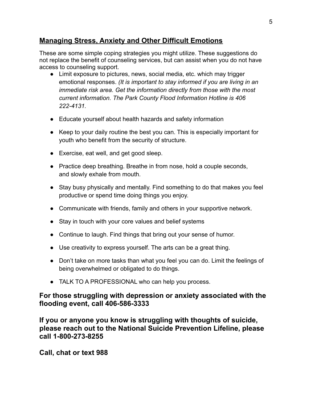## **Managing Stress, Anxiety and Other Difficult Emotions**

These are some simple coping strategies you might utilize. These suggestions do not replace the benefit of counseling services, but can assist when you do not have access to counseling support.

- Limit exposure to pictures, news, social media, etc. which may trigger emotional responses. *(It is important to stay informed if you are living in an immediate risk area. Get the information directly from those with the most current information. The Park County Flood Information Hotline is 406 222-4131.*
- Educate yourself about health hazards and safety information
- Keep to your daily routine the best you can. This is especially important for youth who benefit from the security of structure.
- Exercise, eat well, and get good sleep.
- Practice deep breathing. Breathe in from nose, hold a couple seconds, and slowly exhale from mouth.
- Stay busy physically and mentally. Find something to do that makes you feel productive or spend time doing things you enjoy.
- Communicate with friends, family and others in your supportive network.
- Stay in touch with your core values and belief systems
- Continue to laugh. Find things that bring out your sense of humor.
- Use creativity to express yourself. The arts can be a great thing.
- Don't take on more tasks than what you feel you can do. Limit the feelings of being overwhelmed or obligated to do things.
- TALK TO A PROFESSIONAL who can help you process.

#### **For those struggling with depression or anxiety associated with the flooding event, call 406-586-3333**

**If you or anyone you know is struggling with thoughts of suicide, please reach out to the National Suicide Prevention Lifeline, please call 1-800-273-8255**

**Call, chat or text 988**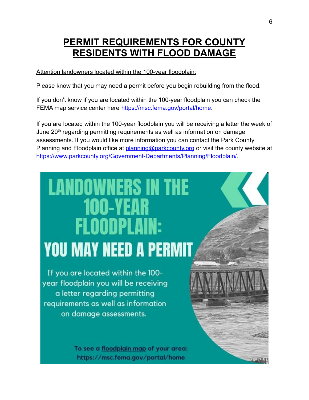## **PERMIT REQUIREMENTS FOR COUNTY RESIDENTS WITH FLOOD DAMAGE**

Attention landowners located within the 100-year floodplain:

Please know that you may need a permit before you begin rebuilding from the flood.

If you don't know if you are located within the 100-year floodplain you can check the FEMA map service center here [https://msc.fema.gov/portal/home.](https://msc.fema.gov/portal/home)

If you are located within the 100-year floodplain you will be receiving a letter the week of June 20<sup>th</sup> regarding permitting requirements as well as information on damage assessments. If you would like more information you can contact the Park County Planning and Floodplain office at [planning@parkcounty.org](mailto:planning@parkcounty.org) or visit the county website at [https://www.parkcounty.org/Government-Departments/Planning/Floodplain/.](https://www.parkcounty.org/Government-Departments/Planning/Floodplain/)

## **LANDOWNERS IN THE** IOO-YEAR **FLOODPLAIN: YOU MAY NEED A PERMIT**

If you are located within the 100year floodplain you will be receiving a letter regarding permitting requirements as well as information on damage assessments.

> To see a floodplain map of your area: https://msc.fema.gov/portal/home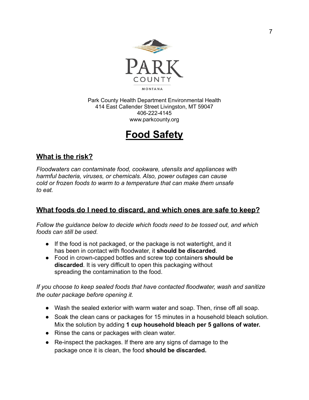

Park County Health Department Environmental Health 414 East Callender Street Livingston, MT 59047 406-222-4145 [www.parkcounty.org](http://www.parkcounty.org/)

## **Food Safety**

## **What is the risk?**

*Floodwaters can contaminate food, cookware, utensils and appliances with harmful bacteria, viruses, or chemicals. Also, power outages can cause cold or frozen foods to warm to a temperature that can make them unsafe to eat.*

## **What foods do I need to discard, and which ones are safe to keep?**

*Follow the guidance below to decide which foods need to be tossed out, and which foods can still be used.*

- If the food is not packaged, or the package is not watertight, and it has been in contact with floodwater, it **should be discarded**.
- Food in crown-capped bottles and screw top containers **should be discarded**. It is very difficult to open this packaging without spreading the contamination to the food.

*If you choose to keep sealed foods that have contacted floodwater, wash and sanitize the outer package before opening it.*

- Wash the sealed exterior with warm water and soap. Then, rinse off all soap.
- **●** Soak the clean cans or packages for 15 minutes in a household bleach solution. Mix the solution by adding **1 cup household bleach per 5 gallons of water.**
- Rinse the cans or packages with clean water.
- **●** Re-inspect the packages. If there are any signs of damage to the package once it is clean, the food **should be discarded.**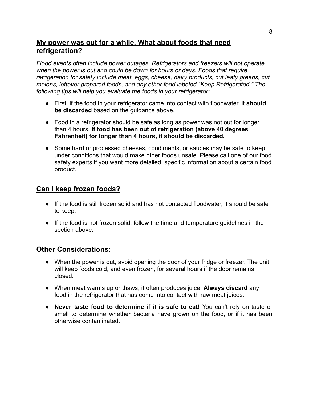## **My power was out for a while. What about foods that need refrigeration?**

*Flood events often include power outages. Refrigerators and freezers will not operate when the power is out and could be down for hours or days. Foods that require refrigeration for safety include meat, eggs, cheese, dairy products, cut leafy greens, cut melons, leftover prepared foods, and any other food labeled "Keep Refrigerated." The following tips will help you evaluate the foods in your refrigerator:*

- First, if the food in your refrigerator came into contact with floodwater, it **should be discarded** based on the guidance above.
- **●** Food in a refrigerator should be safe as long as power was not out for longer than 4 hours. **If food has been out of refrigeration (above 40 degrees Fahrenheit) for longer than 4 hours, it should be discarded.**
- Some hard or processed cheeses, condiments, or sauces may be safe to keep under conditions that would make other foods unsafe. Please call one of our food safety experts if you want more detailed, specific information about a certain food product.

#### **Can I keep frozen foods?**

- If the food is still frozen solid and has not contacted floodwater, it should be safe to keep.
- If the food is not frozen solid, follow the time and temperature guidelines in the section above.

## **Other Considerations:**

- When the power is out, avoid opening the door of your fridge or freezer. The unit will keep foods cold, and even frozen, for several hours if the door remains closed.
- When meat warms up or thaws, it often produces juice. **Always discard** any food in the refrigerator that has come into contact with raw meat juices.
- **Never taste food to determine if it is safe to eat!** You can't rely on taste or smell to determine whether bacteria have grown on the food, or if it has been otherwise contaminated.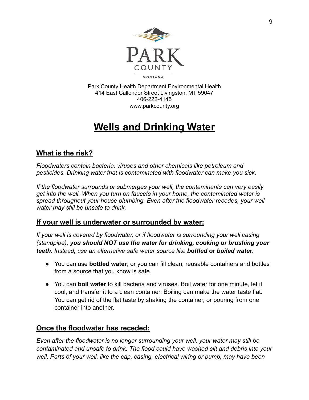

Park County Health Department Environmental Health 414 East Callender Street Livingston, MT 59047 406-222-4145 [www.parkcounty.org](http://www.parkcounty.org/)

## **Wells and Drinking Water**

## **What is the risk?**

*Floodwaters contain bacteria, viruses and other chemicals like petroleum and pesticides. Drinking water that is contaminated with floodwater can make you sick.*

*If the floodwater surrounds or submerges your well, the contaminants can very easily get into the well. When you turn on faucets in your home, the contaminated water is spread throughout your house plumbing. Even after the floodwater recedes, your well water may still be unsafe to drink.*

## **If your well is underwater or surrounded by water:**

*If your well is covered by floodwater, or if floodwater is surrounding your well casing (standpipe), you should NOT use the water for drinking, cooking or brushing your teeth. Instead, use an alternative safe water source like bottled or boiled water.*

- You can use **bottled water**, or you can fill clean, reusable containers and bottles from a source that you know is safe.
- You can **boil water** to kill bacteria and viruses. Boil water for one minute, let it cool, and transfer it to a clean container. Boiling can make the water taste flat. You can get rid of the flat taste by shaking the container, or pouring from one container into another.

## **Once the floodwater has receded:**

*Even after the floodwater is no longer surrounding your well, your water may still be contaminated and unsafe to drink. The flood could have washed silt and debris into your well. Parts of your well, like the cap, casing, electrical wiring or pump, may have been*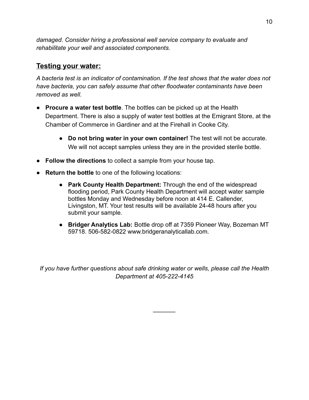*damaged. Consider hiring a professional well service company to evaluate and rehabilitate your well and associated components.*

## **Testing your water:**

*A bacteria test is an indicator of contamination. If the test shows that the water does not have bacteria, you can safely assume that other floodwater contaminants have been removed as well.*

- **Procure a water test bottle**. The bottles can be picked up at the Health Department. There is also a supply of water test bottles at the Emigrant Store, at the Chamber of Commerce in Gardiner and at the Firehall in Cooke City.
	- **Do not bring water in your own container!** The test will not be accurate. We will not accept samples unless they are in the provided sterile bottle.
- **Follow the directions** to collect a sample from your house tap.
- **Return the bottle** to one of the following locations:
	- **Park County Health Department:** Through the end of the widespread flooding period, Park County Health Department will accept water sample bottles Monday and Wednesday before noon at 414 E. Callender, Livingston, MT. Your test results will be available 24-48 hours after you submit your sample.
	- **Bridger Analytics Lab:** Bottle drop off at 7359 Pioneer Way, Bozeman MT 59718. 506-582-0822 [www.bridgeranalyticallab.com.](http://www.bridgeranalyticallab.com/)

*If you have further questions about safe drinking water or wells, please call the Health Department at 405-222-4145*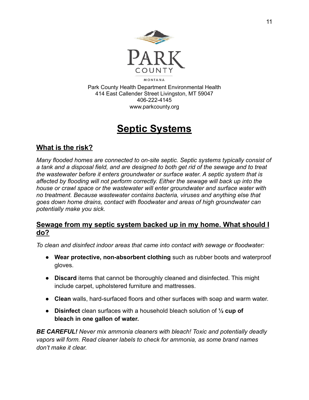

Park County Health Department Environmental Health 414 East Callender Street Livingston, MT 59047 406-222-4145 [www.parkcounty.org](http://www.parkcounty.org/)

## **Septic Systems**

## **What is the risk?**

*Many flooded homes are connected to on-site septic. Septic systems typically consist of a tank and a disposal field, and are designed to both get rid of the sewage and to treat the wastewater before it enters groundwater or surface water. A septic system that is affected by flooding will not perform correctly. Either the sewage will back up into the house or crawl space or the wastewater will enter groundwater and surface water with no treatment. Because wastewater contains bacteria, viruses and anything else that goes down home drains, contact with floodwater and areas of high groundwater can potentially make you sick.*

## **Sewage from my septic system backed up in my home. What should I do?**

*To clean and disinfect indoor areas that came into contact with sewage or floodwater:*

- **Wear protective, non-absorbent clothing** such as rubber boots and waterproof gloves.
- **Discard** items that cannot be thoroughly cleaned and disinfected. This might include carpet, upholstered furniture and mattresses.
- **Clean** walls, hard-surfaced floors and other surfaces with soap and warm water.
- **Disinfect** clean surfaces with a household bleach solution of **½ cup of bleach in one gallon of water.**

*BE CAREFUL! Never mix ammonia cleaners with bleach! Toxic and potentially deadly vapors will form. Read cleaner labels to check for ammonia, as some brand names don't make it clear.*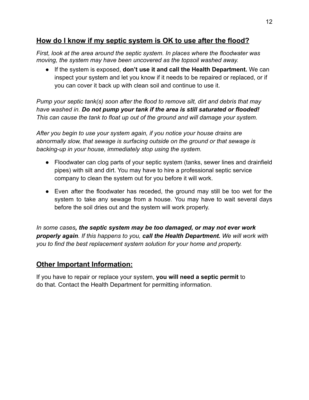## **How do I know if my septic system is OK to use after the flood?**

*First, look at the area around the septic system. In places where the floodwater was moving, the system may have been uncovered as the topsoil washed away.*

● If the system is exposed, **don't use it and call the Health Department.** We can inspect your system and let you know if it needs to be repaired or replaced, or if you can cover it back up with clean soil and continue to use it.

*Pump your septic tank(s) soon after the flood to remove silt, dirt and debris that may have washed in. Do not pump your tank if the area is still saturated or flooded! This can cause the tank to float up out of the ground and will damage your system.*

*After you begin to use your system again, if you notice your house drains are abnormally slow, that sewage is surfacing outside on the ground or that sewage is backing-up in your house, immediately stop using the system.*

- Floodwater can clog parts of your septic system (tanks, sewer lines and drainfield pipes) with silt and dirt. You may have to hire a professional septic service company to clean the system out for you before it will work.
- Even after the floodwater has receded, the ground may still be too wet for the system to take any sewage from a house. You may have to wait several days before the soil dries out and the system will work properly.

*In some cases, the septic system may be too damaged, or may not ever work properly again. If this happens to you, call the Health Department. We will work with you to find the best replacement system solution for your home and property.*

## **Other Important Information:**

If you have to repair or replace your system, **you will need a septic permit** to do that. Contact the Health Department for permitting information.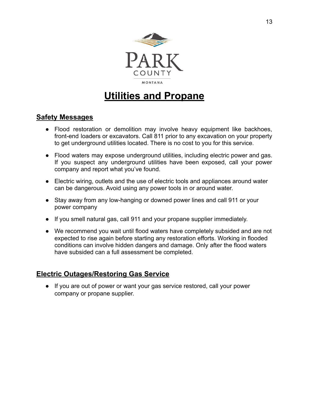

## **Utilities and Propane**

## **Safety Messages**

- Flood restoration or demolition may involve heavy equipment like backhoes, front-end loaders or excavators. Call 811 prior to any excavation on your property to get underground utilities located. There is no cost to you for this service.
- Flood waters may expose underground utilities, including electric power and gas. If you suspect any underground utilities have been exposed, call your power company and report what you've found.
- Electric wiring, outlets and the use of electric tools and appliances around water can be dangerous. Avoid using any power tools in or around water.
- Stay away from any low-hanging or downed power lines and call 911 or your power company
- If you smell natural gas, call 911 and your propane supplier immediately.
- We recommend you wait until flood waters have completely subsided and are not expected to rise again before starting any restoration efforts. Working in flooded conditions can involve hidden dangers and damage. Only after the flood waters have subsided can a full assessment be completed.

## **Electric Outages/Restoring Gas Service**

● If you are out of power or want your gas service restored, call your power company or propane supplier.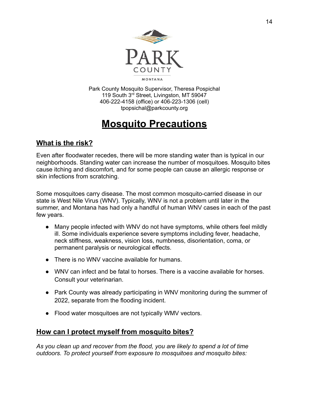

Park County Mosquito Supervisor, Theresa Pospichal 119 South 3<sup>rd</sup> Street, Livingston, MT 59047 406-222-4158 (office) or 406-223-1306 (cell) [tpopsichal@parkcounty.org](mailto:tpopsichal@parkcounty.org)

## **Mosquito Precautions**

## **What is the risk?**

Even after floodwater recedes, there will be more standing water than is typical in our neighborhoods. Standing water can increase the number of mosquitoes. Mosquito bites cause itching and discomfort, and for some people can cause an allergic response or skin infections from scratching.

Some mosquitoes carry disease. The most common mosquito-carried disease in our state is West Nile Virus (WNV). Typically, WNV is not a problem until later in the summer, and Montana has had only a handful of human WNV cases in each of the past few years.

- Many people infected with WNV do not have symptoms, while others feel mildly ill. Some individuals experience severe symptoms including fever, headache, neck stiffness, weakness, vision loss, numbness, disorientation, coma, or permanent paralysis or neurological effects.
- There is no WNV vaccine available for humans.
- WNV can infect and be fatal to horses. There is a vaccine available for horses. Consult your veterinarian.
- Park County was already participating in WNV monitoring during the summer of 2022, separate from the flooding incident.
- Flood water mosquitoes are not typically WMV vectors.

## **How can I protect myself from mosquito bites?**

*As you clean up and recover from the flood, you are likely to spend a lot of time outdoors. To protect yourself from exposure to mosquitoes and mosquito bites:*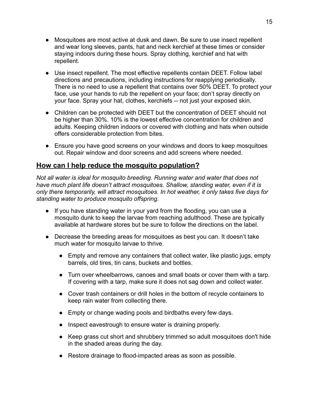- Mosquitoes are most active at dusk and dawn. Be sure to use insect repellent and wear long sleeves, pants, hat and neck kerchief at these times or consider staying indoors during these hours. Spray clothing, kerchief and hat with repellent.
- Use insect repellent. The most effective repellents contain DEET. Follow label directions and precautions, including instructions for reapplying periodically. There is no need to use a repellent that contains over 50% DEET. To protect your face, use your hands to rub the repellent on your face; don't spray directly on your face. Spray your hat, clothes, kerchiefs -- not just your exposed skin.
- Children can be protected with DEET but the concentration of DEET should not be higher than 30%. 10% is the lowest effective concentration for children and adults. Keeping children indoors or covered with clothing and hats when outside offers considerable protection from bites.
- Ensure you have good screens on your windows and doors to keep mosquitoes out. Repair window and door screens and add screens where needed.

#### **How can I help reduce the mosquito population?**

*Not all water is ideal for mosquito breeding. Running water and water that does not have much plant life doesn't attract mosquitoes. Shallow, standing water, even if it is only there temporarily, will attract mosquitoes. In hot weather, it only takes five days for standing water to produce mosquito offspring.*

- If you have standing water in your yard from the flooding, you can use a mosquito dunk to keep the larvae from reaching adulthood. These are typically available at hardware stores but be sure to follow the directions on the label.
- Decrease the breeding areas for mosquitoes as best you can. It doesn't take much water for mosquito larvae to thrive.
	- Empty and remove any containers that collect water, like plastic jugs, empty barrels, old tires, tin cans, buckets and bottles.
	- Turn over wheelbarrows, canoes and small boats or cover them with a tarp. If covering with a tarp, make sure it does not sag down and collect water.
	- Cover trash containers or drill holes in the bottom of recycle containers to keep rain water from collecting there.
	- Empty or change wading pools and birdbaths every few days.
	- Inspect eavestrough to ensure water is draining properly.
	- Keep grass cut short and shrubbery trimmed so adult mosquitoes don't hide in the shaded areas during the day.
	- Restore drainage to flood-impacted areas as soon as possible.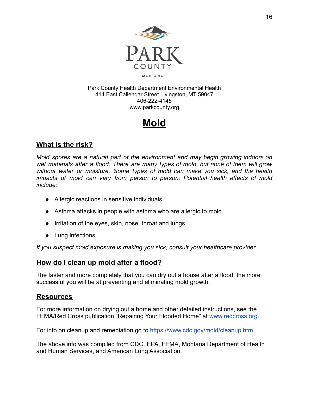

Park County Health Department Environmental Health 414 East Callendar Street Livingston, MT 59047 406-222-4145 [www.parkcounty.org](http://www.parkcounty.org/)

## **Mold**

## **What is the risk?**

*Mold spores are a natural part of the environment and may begin growing indoors on wet materials after a flood. There are many types of mold, but none of them will grow without water or moisture. Some types of mold can make you sick, and the health impacts of mold can vary from person to person. Potential health effects of mold include:*

- Allergic reactions in sensitive individuals.
- Asthma attacks in people with asthma who are allergic to mold.
- Irritation of the eyes, skin, nose, throat and lungs.
- Lung infections

*If you suspect mold exposure is making you sick, consult your healthcare provider.*

## **How do I clean up mold after a flood?**

The faster and more completely that you can dry out a house after a flood, the more successful you will be at preventing and eliminating mold growth.

## **Resources**

For more information on drying out a home and other detailed instructions, see the FEMA/Red Cross publication "Repairing Your Flooded Home" at [www.redcross.org.](http://www.redcross.org/)

For info on cleanup and remediation go to <https://www.cdc.gov/mold/cleanup.htm>

The above info was compiled from CDC, EPA, FEMA, Montana Department of Health and Human Services, and American Lung Association.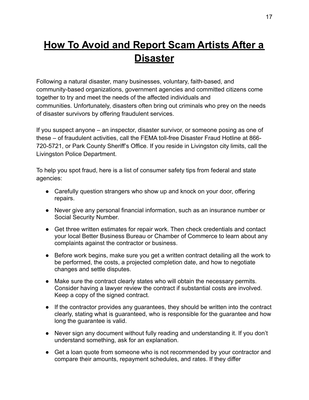## **How To Avoid and Report Scam Artists After a Disaster**

Following a natural disaster, many businesses, voluntary, faith-based, and community-based organizations, government agencies and committed citizens come together to try and meet the needs of the affected individuals and communities. Unfortunately, disasters often bring out criminals who prey on the needs of disaster survivors by offering fraudulent services.

If you suspect anyone – an inspector, disaster survivor, or someone posing as one of these – of fraudulent activities, call the FEMA toll-free Disaster Fraud Hotline at 866- 720-5721, or Park County Sheriff's Office. If you reside in Livingston city limits, call the Livingston Police Department.

To help you spot fraud, here is a list of consumer safety tips from federal and state agencies:

- Carefully question strangers who show up and knock on your door, offering repairs.
- Never give any personal financial information, such as an insurance number or Social Security Number.
- Get three written estimates for repair work. Then check credentials and contact your local Better Business Bureau or Chamber of Commerce to learn about any complaints against the contractor or business.
- Before work begins, make sure you get a written contract detailing all the work to be performed, the costs, a projected completion date, and how to negotiate changes and settle disputes.
- Make sure the contract clearly states who will obtain the necessary permits. Consider having a lawyer review the contract if substantial costs are involved. Keep a copy of the signed contract.
- If the contractor provides any guarantees, they should be written into the contract clearly, stating what is guaranteed, who is responsible for the guarantee and how long the guarantee is valid.
- Never sign any document without fully reading and understanding it. If you don't understand something, ask for an explanation.
- Get a loan quote from someone who is not recommended by your contractor and compare their amounts, repayment schedules, and rates. If they differ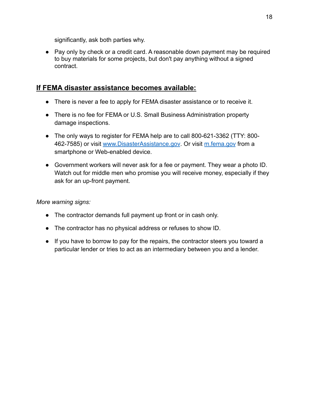significantly, ask both parties why.

● Pay only by check or a credit card. A reasonable down payment may be required to buy materials for some projects, but don't pay anything without a signed contract.

## **If FEMA disaster assistance becomes available:**

- There is never a fee to apply for FEMA disaster assistance or to receive it.
- There is no fee for FEMA or U.S. Small Business Administration property damage inspections.
- The only ways to register for FEMA help are to call 800-621-3362 (TTY: 800 462-7585) or visit [www.DisasterAssistance.gov](http://www.disasterassistance.gov/). Or visit [m.fema.gov](https://m.fema.gov/) from a smartphone or Web-enabled device.
- Government workers will never ask for a fee or payment. They wear a photo ID. Watch out for middle men who promise you will receive money, especially if they ask for an up-front payment.

#### *More warning signs:*

- The contractor demands full payment up front or in cash only.
- The contractor has no physical address or refuses to show ID.
- If you have to borrow to pay for the repairs, the contractor steers you toward a particular lender or tries to act as an intermediary between you and a lender.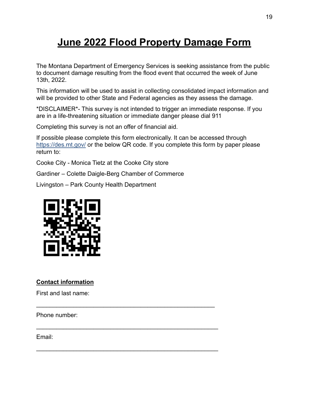## **June 2022 Flood Property Damage Form**

The Montana Department of Emergency Services is seeking assistance from the public to document damage resulting from the flood event that occurred the week of June 13th, 2022.

This information will be used to assist in collecting consolidated impact information and will be provided to other State and Federal agencies as they assess the damage.

\*DISCLAIMER\*- This survey is not intended to trigger an immediate response. If you are in a life-threatening situation or immediate danger please dial 911

Completing this survey is not an offer of financial aid.

If possible please complete this form electronically. It can be accessed through https://des.mt.gov/ or the below QR code. If you complete this form by paper please return to:

Cooke City - Monica Tietz at the Cooke City store

Gardiner – Colette Daigle-Berg Chamber of Commerce

\_\_\_\_\_\_\_\_\_\_\_\_\_\_\_\_\_\_\_\_\_\_\_\_\_\_\_\_\_\_\_\_\_\_\_\_\_\_\_\_\_\_\_\_\_\_\_\_\_\_\_\_\_

 $\mathcal{L}_\text{max}$  , and the contract of the contract of the contract of the contract of the contract of the contract of the contract of the contract of the contract of the contract of the contract of the contract of the contr

 $\mathcal{L}_\text{max} = \mathcal{L}_\text{max} = \mathcal{L}_\text{max} = \mathcal{L}_\text{max} = \mathcal{L}_\text{max} = \mathcal{L}_\text{max} = \mathcal{L}_\text{max} = \mathcal{L}_\text{max} = \mathcal{L}_\text{max} = \mathcal{L}_\text{max} = \mathcal{L}_\text{max} = \mathcal{L}_\text{max} = \mathcal{L}_\text{max} = \mathcal{L}_\text{max} = \mathcal{L}_\text{max} = \mathcal{L}_\text{max} = \mathcal{L}_\text{max} = \mathcal{L}_\text{max} = \mathcal{$ 

Livingston – Park County Health Department



#### **Contact information**

First and last name:

Phone number:

Email: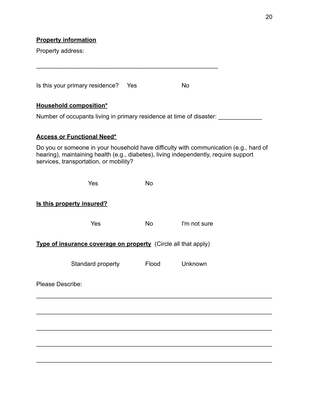#### **Property information**

Property address:

Is this your primary residence? Yes No

 $\mathcal{L}_\text{max} = \mathcal{L}_\text{max} = \mathcal{L}_\text{max} = \mathcal{L}_\text{max} = \mathcal{L}_\text{max} = \mathcal{L}_\text{max} = \mathcal{L}_\text{max} = \mathcal{L}_\text{max} = \mathcal{L}_\text{max} = \mathcal{L}_\text{max} = \mathcal{L}_\text{max} = \mathcal{L}_\text{max} = \mathcal{L}_\text{max} = \mathcal{L}_\text{max} = \mathcal{L}_\text{max} = \mathcal{L}_\text{max} = \mathcal{L}_\text{max} = \mathcal{L}_\text{max} = \mathcal{$ 

#### **Household composition\***

Number of occupants living in primary residence at time of disaster: \_\_\_\_\_\_\_\_\_\_\_

#### **Access or Functional Need\***

Do you or someone in your household have difficulty with communication (e.g., hard of hearing), maintaining health (e.g., diabetes), living independently, require support services, transportation, or mobility?

|                                                                | Yes               | <b>No</b> |              |  |
|----------------------------------------------------------------|-------------------|-----------|--------------|--|
| Is this property insured?                                      |                   |           |              |  |
|                                                                | Yes               | No        | I'm not sure |  |
| Type of insurance coverage on property (Circle all that apply) |                   |           |              |  |
|                                                                | Standard property | Flood     | Unknown      |  |
| Please Describe:                                               |                   |           |              |  |
|                                                                |                   |           |              |  |
|                                                                |                   |           |              |  |
|                                                                |                   |           |              |  |
|                                                                |                   |           |              |  |